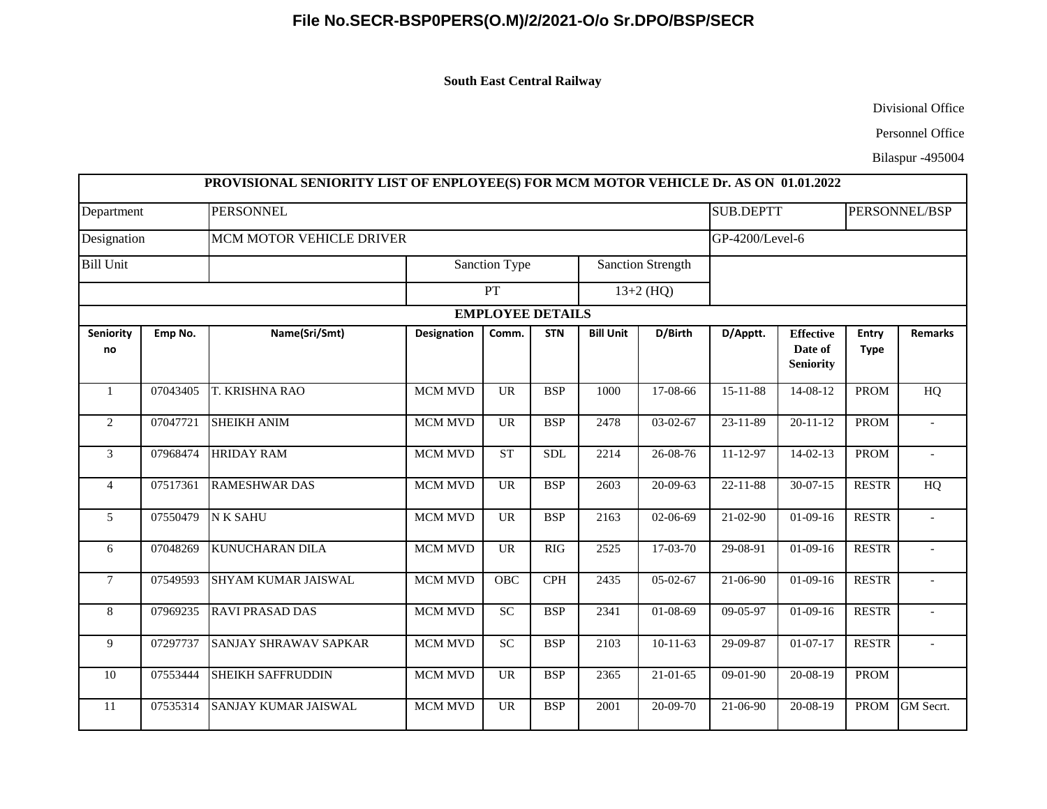## **File No.SECR-BSP0PERS(O.M)/2/2021-O/o Sr.DPO/BSP/SECR**

**South East Central Railway** 

Divisional Office

Personnel Office

Bilaspur -495004

| Department<br>Designation<br><b>Bill Unit</b> |          | <b>PERSONNEL</b><br>MCM MOTOR VEHICLE DRIVER |                            |                         |            |                                         |                |                | <b>SUB.DEPTT</b>                                |                      | PERSONNEL/BSP            |  |
|-----------------------------------------------|----------|----------------------------------------------|----------------------------|-------------------------|------------|-----------------------------------------|----------------|----------------|-------------------------------------------------|----------------------|--------------------------|--|
|                                               |          |                                              |                            |                         |            |                                         |                |                | GP-4200/Level-6                                 |                      |                          |  |
|                                               |          |                                              | Sanction Type<br><b>PT</b> |                         |            | <b>Sanction Strength</b><br>$13+2$ (HQ) |                |                |                                                 |                      |                          |  |
|                                               |          |                                              |                            |                         |            |                                         |                |                |                                                 |                      |                          |  |
|                                               |          |                                              |                            | <b>EMPLOYEE DETAILS</b> |            |                                         |                |                |                                                 |                      |                          |  |
| <b>Seniority</b><br>no                        | Emp No.  | Name(Sri/Smt)                                | <b>Designation</b>         | Comm.                   | <b>STN</b> | <b>Bill Unit</b>                        | D/Birth        | D/Apptt.       | <b>Effective</b><br>Date of<br><b>Seniority</b> | Entry<br><b>Type</b> | <b>Remarks</b>           |  |
| $\mathbf{1}$                                  | 07043405 | T. KRISHNA RAO                               | <b>MCM MVD</b>             | <b>UR</b>               | <b>BSP</b> | 1000                                    | 17-08-66       | $15 - 11 - 88$ | 14-08-12                                        | <b>PROM</b>          | HQ                       |  |
| $\overline{c}$                                | 07047721 | <b>SHEIKH ANIM</b>                           | <b>MCM MVD</b>             | <b>UR</b>               | <b>BSP</b> | 2478                                    | $03-02-67$     | 23-11-89       | $20 - 11 - 12$                                  | <b>PROM</b>          |                          |  |
| 3                                             | 07968474 | <b>HRIDAY RAM</b>                            | MCM MVD                    | <b>ST</b>               | <b>SDL</b> | 2214                                    | 26-08-76       | 11-12-97       | $14-02-13$                                      | <b>PROM</b>          |                          |  |
| $\overline{4}$                                | 07517361 | <b>RAMESHWAR DAS</b>                         | MCM MVD                    | <b>UR</b>               | <b>BSP</b> | 2603                                    | $20 - 09 - 63$ | $22 - 11 - 88$ | $30-07-15$                                      | <b>RESTR</b>         | HQ                       |  |
| 5                                             | 07550479 | <b>NK SAHU</b>                               | MCM MVD                    | <b>UR</b>               | <b>BSP</b> | 2163                                    | 02-06-69       | $21 - 02 - 90$ | $01-09-16$                                      | <b>RESTR</b>         | $\overline{\phantom{a}}$ |  |
| 6                                             | 07048269 | <b>KUNUCHARAN DILA</b>                       | <b>MCM MVD</b>             | <b>UR</b>               | <b>RIG</b> | 2525                                    | 17-03-70       | 29-08-91       | $01-09-16$                                      | <b>RESTR</b>         |                          |  |
| $\tau$                                        | 07549593 | SHYAM KUMAR JAISWAL                          | <b>MCM MVD</b>             | OBC                     | CPH        | 2435                                    | $05 - 02 - 67$ | 21-06-90       | $01-09-16$                                      | <b>RESTR</b>         |                          |  |
| 8                                             | 07969235 | <b>RAVI PRASAD DAS</b>                       | MCM MVD                    | SC                      | <b>BSP</b> | 2341                                    | $01 - 08 - 69$ | 09-05-97       | $01-09-16$                                      | <b>RESTR</b>         |                          |  |
| 9                                             | 07297737 | <b>SANJAY SHRAWAV SAPKAR</b>                 | MCM MVD                    | SC                      | <b>BSP</b> | 2103                                    | $10-11-63$     | 29-09-87       | $01-07-17$                                      | <b>RESTR</b>         |                          |  |
| 10                                            | 07553444 | SHEIKH SAFFRUDDIN                            | <b>MCM MVD</b>             | <b>UR</b>               | <b>BSP</b> | 2365                                    | $21 - 01 - 65$ | $09-01-90$     | $20 - 08 - 19$                                  | <b>PROM</b>          |                          |  |
| 11                                            | 07535314 | SANJAY KUMAR JAISWAL                         | MCM MVD                    | <b>UR</b>               | <b>BSP</b> | 2001                                    | 20-09-70       | 21-06-90       | $20 - 08 - 19$                                  | <b>PROM</b>          | GM Secrt.                |  |